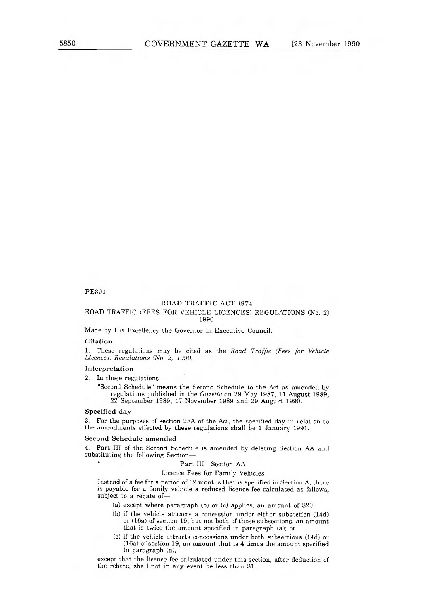# PE301

# ROAD TRAFFIC ACT 1974

# ROAD TRAFFIC (FEES FOR VEHICLE LICENCES) REGULATIONS (No. 2) 1990

Made by His Excellency the Governor in Executive Council.

### Citation

1. These regulations may be cited as the Road Traffic (Fees for Vehicle Licences) Regulations (No. 2) 1990.

### Interpretation

2. In these regulations—

"Second Schedule" means the Second Schedule to the Act as amended by regulations published in the Gazette on 29 May 1987, 11 August 1989, 22 September 1989, 17 November 1989 and 29 August 1990.

### Specified day

 $\alpha$ 

3. For the purposes of section 28A of the Act, the specified day in relation to the amendments effected by these regulations shall be 1 January 1991.

#### Second Schedule amended

4. Part III of the Second Schedule is amended by deleting Section AA and substituting the following Section—

#### Part III—Section AA

#### Licence Fees for Family Vehicles

Instead of a fee for a period of 12 months that is specified in Section A, there is payable for a family vehicle a reduced licence fee calculated as follows, subject to a rebate of—

- (a) except where paragraph (b) or (c) applies, an amount of \$20;
- (b) if the vehicle attracts a concession under either subsection (14d) or (16a) of section 19, but not both of those subsections, an amount that is twice the amount specified in paragraph (a); or
- (c) if the vehicle attracts concessions under both subsections (14d) or (16a) of section 19, an amount that is 4 times the amount specified in paragraph (a),

except that the licence fee calculated under this section, after deduction of the rebate, shall not in any event be less than \$1.